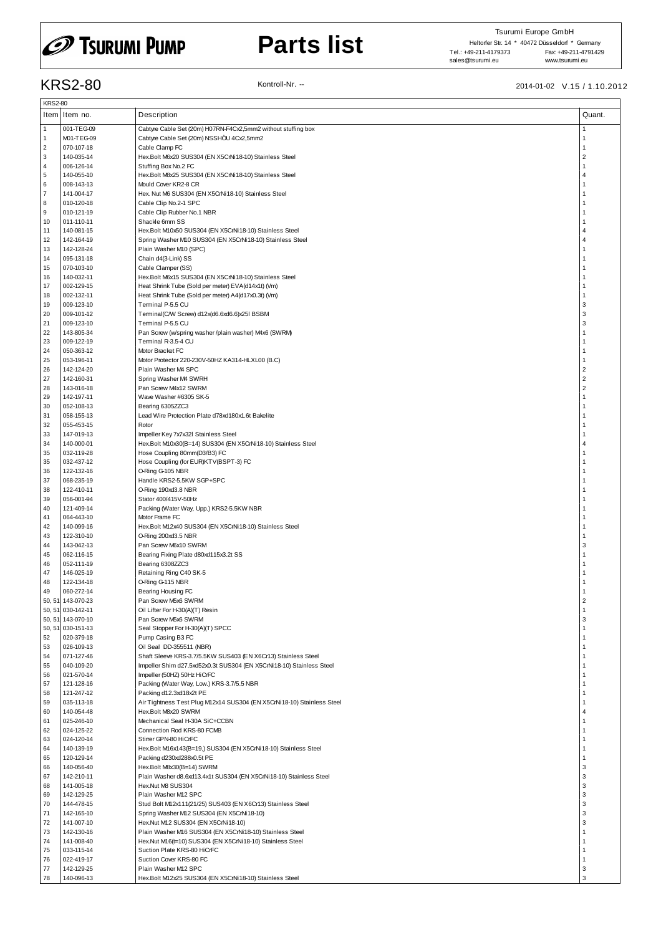# *CD* Tsurumi Pump

# **Parts list**

### KRS2-80 Kontroll-Nr. -- 2014-01-02 V.15 / 1.10.2012

|                | <b>KRS2-80</b>    |                                                                        |                |  |  |  |  |  |
|----------------|-------------------|------------------------------------------------------------------------|----------------|--|--|--|--|--|
|                | Item Item no.     | Description                                                            | Quant.         |  |  |  |  |  |
|                |                   |                                                                        |                |  |  |  |  |  |
| $\mathbf{1}$   | 001-TEG-09        | Cabtyre Cable Set (20m) H07RN-F4Cx2,5mm2 without stuffing box          | 1              |  |  |  |  |  |
| $\mathbf{1}$   | M01-TEG-09        | Cabtyre Cable Set (20m) NSSHÖU 4Cx2,5mm2                               | $\overline{1}$ |  |  |  |  |  |
| $\overline{2}$ | 070-107-18        | Cable Clamp FC                                                         | $\overline{1}$ |  |  |  |  |  |
| 3              | 140-035-14        | Hex.Bolt M6x20 SUS304 (EN X5CrNi18-10) Stainless Steel                 | $\overline{2}$ |  |  |  |  |  |
| $\overline{4}$ | 006-126-14        | Stuffing Box No.2 FC                                                   | $\overline{1}$ |  |  |  |  |  |
| 5              | 140-055-10        | Hex.Bolt M8x25 SUS304 (EN X5CrNi18-10) Stainless Steel                 | $\overline{4}$ |  |  |  |  |  |
| 6              | 008-143-13        | Mould Cover KR2-8 CR                                                   | $\overline{1}$ |  |  |  |  |  |
| $\overline{7}$ | 141-004-17        | Hex. Nut M6 SUS304 (EN X5CrNi18-10) Stainless Steel                    | $\overline{1}$ |  |  |  |  |  |
| 8              | 010-120-18        | Cable Clip No.2-1 SPC                                                  | $\overline{1}$ |  |  |  |  |  |
| 9              | 010-121-19        | Cable Clip Rubber No.1 NBR                                             | $\overline{1}$ |  |  |  |  |  |
| 10             | 011-110-11        | Shackle 6mm SS                                                         | $\overline{1}$ |  |  |  |  |  |
| 11             | 140-081-15        | Hex.Bolt M10x50 SUS304 (EN X5CrNi18-10) Stainless Steel                | $\overline{4}$ |  |  |  |  |  |
| 12             | 142-164-19        | Spring Washer M10 SUS304 (EN X5CrNi18-10) Stainless Steel              | $\overline{4}$ |  |  |  |  |  |
| 13             | 142-128-24        | Plain Washer M10 (SPC)                                                 | $\overline{1}$ |  |  |  |  |  |
| 14             | 095-131-18        | Chain d4(3-Link) SS                                                    | $\overline{1}$ |  |  |  |  |  |
| 15             | 070-103-10        | Cable Clamper (SS)                                                     | $\overline{1}$ |  |  |  |  |  |
| 16             | 140-032-11        | Hex.Bolt M6x15 SUS304 (EN X5CrNi18-10) Stainless Steel                 | $\overline{1}$ |  |  |  |  |  |
| 17             | 002-129-15        | Heat Shrink Tube (Sold per meter) EVA(d14x1t) (Vm)                     | $\overline{1}$ |  |  |  |  |  |
| 18             | 002-132-11        | Heat Shrink Tube (Sold per meter) A4(d17x0.3t) (Vm)                    | $\overline{1}$ |  |  |  |  |  |
| 19             | 009-123-10        | Terminal P-5.5 CU                                                      | 3              |  |  |  |  |  |
| 20             | 009-101-12        | Terminal(C/W Screw) d12x(d6.6xd6.6)x25l BSBM                           | 3              |  |  |  |  |  |
| 21             | 009-123-10        | Terminal P-5.5 CU                                                      | 3              |  |  |  |  |  |
| 22             | 143-805-34        | Pan Screw (w/spring washer /plain washer) M4x6 (SWRM)                  | $\overline{1}$ |  |  |  |  |  |
| 23             | 009-122-19        | Terminal R-3.5-4 CU                                                    | $\overline{1}$ |  |  |  |  |  |
| 24             | 050-363-12        | Motor Bracket FC                                                       | $\overline{1}$ |  |  |  |  |  |
| 25             | 053-196-11        | Motor Protector 220-230V-50HZ KA314-HLXL00 (B.C)                       | $\overline{1}$ |  |  |  |  |  |
| 26             | 142-124-20        | Plain Washer M4 SPC                                                    | $\overline{2}$ |  |  |  |  |  |
| 27             | 142-160-31        | Spring Washer M4 SWRH                                                  | $\overline{2}$ |  |  |  |  |  |
| 28             | 143-016-18        | Pan Screw M4x12 SWRM                                                   | $\overline{2}$ |  |  |  |  |  |
| 29             |                   |                                                                        | $\overline{1}$ |  |  |  |  |  |
|                | 142-197-11        | Wave Washer #6305 SK-5<br>Bearing 6305ZZC3                             | $\overline{1}$ |  |  |  |  |  |
| 30<br>31       | 052-108-13        | Lead Wire Protection Plate d78xd180x1.6t Bakelite                      | $\overline{1}$ |  |  |  |  |  |
|                | 058-155-13        |                                                                        | $\overline{1}$ |  |  |  |  |  |
| 32             | 055-453-15        | Rotor                                                                  |                |  |  |  |  |  |
| 33             | 147-019-13        | Impeller Key 7x7x32l Stainless Steel                                   | $\overline{1}$ |  |  |  |  |  |
| 34             | 140-000-01        | Hex.Bolt M10x30(B=14) SUS304 (EN X5CrNi18-10) Stainless Steel          | $\overline{4}$ |  |  |  |  |  |
| 35             | 032-119-28        | Hose Coupling 80mm(D3/B3) FC                                           | $\overline{1}$ |  |  |  |  |  |
| 35             | 032-437-12        | Hose Coupling (for EUR)KTV(BSPT-3) FC                                  | $\overline{1}$ |  |  |  |  |  |
| 36             | 122-132-16        | O-Ring G-105 NBR                                                       | $\overline{1}$ |  |  |  |  |  |
| 37             | 068-235-19        | Handle KRS2-5.5KW SGP+SPC                                              | $\overline{1}$ |  |  |  |  |  |
| 38             | 122-410-11        | O-Ring 190xd3.8 NBR                                                    | $\overline{1}$ |  |  |  |  |  |
| 39             | 056-001-94        | Stator 400/415V-50Hz                                                   | 1              |  |  |  |  |  |
| 40             | 121-409-14        | Packing (Water Way, Upp.) KRS2-5.5KW NBR                               | $\overline{1}$ |  |  |  |  |  |
| 41             | 064-443-10        | Motor Frame FC                                                         | $\overline{1}$ |  |  |  |  |  |
| 42             | 140-099-16        | Hex.Bolt M12x40 SUS304 (EN X5CrNi18-10) Stainless Steel                | $\overline{1}$ |  |  |  |  |  |
| 43             | 122-310-10        | O-Ring 200xd3.5 NBR                                                    | $\overline{1}$ |  |  |  |  |  |
| 44             | 143-042-13        | Pan Screw M6x10 SWRM                                                   | 3              |  |  |  |  |  |
| 45             | 062-116-15        | Bearing Fixing Plate d80xd115x3.2t SS                                  | $\overline{1}$ |  |  |  |  |  |
| 46             | 052-111-19        | Bearing 6308ZZC3                                                       | $\overline{1}$ |  |  |  |  |  |
| 47             | 146-025-19        | Retaining Ring C40 SK-5                                                |                |  |  |  |  |  |
| 48             | 122-134-18        | O-Ring G-115 NBR                                                       | 1              |  |  |  |  |  |
| 49             | 060-272-14        | Bearing Housing FC                                                     | $\overline{1}$ |  |  |  |  |  |
|                | 50, 51 143-070-23 | Pan Screw M5x6 SWRM                                                    | $\overline{2}$ |  |  |  |  |  |
|                | 50, 51 030-142-11 | Oil Lifter For H-30(A)(T) Resin                                        | $\overline{1}$ |  |  |  |  |  |
|                | 50, 51 143-070-10 | Pan Screw M5x6 SWRM                                                    | 3              |  |  |  |  |  |
|                | 50, 51 030-151-13 | Seal Stopper For H-30(A)(T) SPCC                                       | $\overline{1}$ |  |  |  |  |  |
| 52             | 020-379-18        | Pump Casing B3 FC                                                      | $\overline{1}$ |  |  |  |  |  |
| 53             | 026-109-13        | Oil Seal DD-355511 (NBR)                                               | $\overline{1}$ |  |  |  |  |  |
| 54             | 071-127-46        | Shaft Sleeve KRS-3.7/5.5KW SUS403 (EN X6Cr13) Stainless Steel          | $\mathbf{1}$   |  |  |  |  |  |
| 55             | 040-109-20        | Impeller Shim d27.5xd52x0.3t SUS304 (EN X5CrNi18-10) Stainless Steel   | 1              |  |  |  |  |  |
| 56             | 021-570-14        | Impeller (50HZ) 50Hz HiCrFC                                            | $\mathbf{1}$   |  |  |  |  |  |
| 57             | 121-128-16        | Packing (Water Way, Low.) KRS-3.7/5.5 NBR                              | $\mathbf{1}$   |  |  |  |  |  |
| 58             | 121-247-12        | Packing d12.3xd18x2t PE                                                | -1             |  |  |  |  |  |
| 59             | 035-113-18        | Air Tightness Test Plug M12x14 SUS304 (EN X5CrNi18-10) Stainless Steel | $\mathbf{1}$   |  |  |  |  |  |
| 60             | 140-054-48        | Hex.Bolt M8x20 SWRM                                                    | $\overline{4}$ |  |  |  |  |  |
| 61             | 025-246-10        | Mechanical Seal H-30A SiC+CCBN                                         | $\overline{1}$ |  |  |  |  |  |
| 62             | 024-125-22        | Connection Rod KRS-80 FCMB                                             | $\overline{1}$ |  |  |  |  |  |
| 63             | 024-120-14        | Stirrer GPN-80 HiCrFC                                                  | $\mathbf{1}$   |  |  |  |  |  |
| 64             | 140-139-19        | Hex.Bolt M16x143(B=19,) SUS304 (EN X5CrNi18-10) Stainless Steel        | $\mathbf{1}$   |  |  |  |  |  |
| 65             | 120-129-14        | Packing d230xd288x0.5t PE                                              | $\overline{1}$ |  |  |  |  |  |
| 66             | 140-056-40        | Hex.Bolt M8x30(B=14) SWRM                                              | 3              |  |  |  |  |  |
| 67             | 142-210-11        | Plain Washer d8.6xd13.4x1t SUS304 (EN X5CrNi18-10) Stainless Steel     | 3              |  |  |  |  |  |
| 68             | 141-005-18        | Hex.Nut M8 SUS304                                                      | 3              |  |  |  |  |  |
| 69             | 142-129-25        | Plain Washer M12 SPC                                                   | 3              |  |  |  |  |  |
| 70             | 144-478-15        | Stud Bolt M12x111(21/25) SUS403 (EN X6Cr13) Stainless Steel            | 3              |  |  |  |  |  |
| 71             | 142-165-10        | Spring Washer M12 SUS304 (EN X5CrNi18-10)                              | 3              |  |  |  |  |  |
| 72             | 141-007-10        | Hex.Nut M12 SUS304 (EN X5CrNi18-10)                                    | 3              |  |  |  |  |  |
| 73             | 142-130-16        | Plain Washer M16 SUS304 (EN X5CrNi18-10) Stainless Steel               | $\overline{1}$ |  |  |  |  |  |
| 74             | 141-008-40        | Hex.Nut M16(t=10) SUS304 (EN X5CrNi18-10) Stainless Steel              | $\overline{1}$ |  |  |  |  |  |
| 75             | 033-115-14        | Suction Plate KRS-80 HiCrFC                                            | $\mathbf{1}$   |  |  |  |  |  |
| 76             | 022-419-17        | Suction Cover KRS-80 FC                                                | $\overline{1}$ |  |  |  |  |  |
| 77             | 142-129-25        | Plain Washer M12 SPC                                                   | 3              |  |  |  |  |  |
| 78             | 140-096-13        | Hex.Bolt M12x25 SUS304 (EN X5CrNi18-10) Stainless Steel                | 3              |  |  |  |  |  |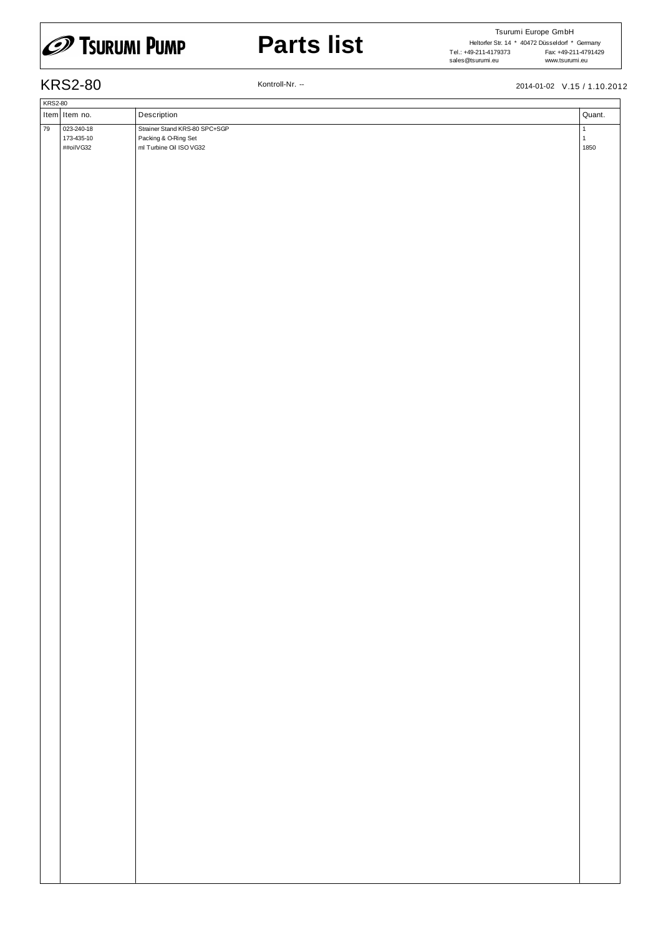

# **Parts list**

Tsurumi Europe GmbH Heltorfer Str. 14 \* 40472 Düsseldorf \* Germany Fax: +49-211-4791429<br>www.tsurumi.eu www.tsurumi.eu Tel.: +49-211-4179373 sales@tsurumi.eu

KRS2-80 Kontroll-Nr. -- 2014-01-02 V.15 / 1.10.2012

|    | <b>KRS2-80</b> |                          |                                                       |                              |  |  |  |  |
|----|----------------|--------------------------|-------------------------------------------------------|------------------------------|--|--|--|--|
|    |                | Item Item no.            | Description                                           | Quant.                       |  |  |  |  |
|    |                |                          |                                                       |                              |  |  |  |  |
| 79 |                | 023-240-18<br>173-435-10 | Strainer Stand KRS-80 SPC+SGP<br>Packing & O-Ring Set | $\mathbf{1}$<br>$\mathbf{1}$ |  |  |  |  |
|    |                | ##oilVG32                | ml Turbine Oil ISO VG32                               | 1850                         |  |  |  |  |
|    |                |                          |                                                       |                              |  |  |  |  |
|    |                |                          |                                                       |                              |  |  |  |  |
|    |                |                          |                                                       |                              |  |  |  |  |
|    |                |                          |                                                       |                              |  |  |  |  |
|    |                |                          |                                                       |                              |  |  |  |  |
|    |                |                          |                                                       |                              |  |  |  |  |
|    |                |                          |                                                       |                              |  |  |  |  |
|    |                |                          |                                                       |                              |  |  |  |  |
|    |                |                          |                                                       |                              |  |  |  |  |
|    |                |                          |                                                       |                              |  |  |  |  |
|    |                |                          |                                                       |                              |  |  |  |  |
|    |                |                          |                                                       |                              |  |  |  |  |
|    |                |                          |                                                       |                              |  |  |  |  |
|    |                |                          |                                                       |                              |  |  |  |  |
|    |                |                          |                                                       |                              |  |  |  |  |
|    |                |                          |                                                       |                              |  |  |  |  |
|    |                |                          |                                                       |                              |  |  |  |  |
|    |                |                          |                                                       |                              |  |  |  |  |
|    |                |                          |                                                       |                              |  |  |  |  |
|    |                |                          |                                                       |                              |  |  |  |  |
|    |                |                          |                                                       |                              |  |  |  |  |
|    |                |                          |                                                       |                              |  |  |  |  |
|    |                |                          |                                                       |                              |  |  |  |  |
|    |                |                          |                                                       |                              |  |  |  |  |
|    |                |                          |                                                       |                              |  |  |  |  |
|    |                |                          |                                                       |                              |  |  |  |  |
|    |                |                          |                                                       |                              |  |  |  |  |
|    |                |                          |                                                       |                              |  |  |  |  |
|    |                |                          |                                                       |                              |  |  |  |  |
|    |                |                          |                                                       |                              |  |  |  |  |
|    |                |                          |                                                       |                              |  |  |  |  |
|    |                |                          |                                                       |                              |  |  |  |  |
|    |                |                          |                                                       |                              |  |  |  |  |
|    |                |                          |                                                       |                              |  |  |  |  |
|    |                |                          |                                                       |                              |  |  |  |  |
|    |                |                          |                                                       |                              |  |  |  |  |
|    |                |                          |                                                       |                              |  |  |  |  |
|    |                |                          |                                                       |                              |  |  |  |  |
|    |                |                          |                                                       |                              |  |  |  |  |
|    |                |                          |                                                       |                              |  |  |  |  |
|    |                |                          |                                                       |                              |  |  |  |  |
|    |                |                          |                                                       |                              |  |  |  |  |
|    |                |                          |                                                       |                              |  |  |  |  |
|    |                |                          |                                                       |                              |  |  |  |  |
|    |                |                          |                                                       |                              |  |  |  |  |
|    |                |                          |                                                       |                              |  |  |  |  |
|    |                |                          |                                                       |                              |  |  |  |  |
|    |                |                          |                                                       |                              |  |  |  |  |
|    |                |                          |                                                       |                              |  |  |  |  |
|    |                |                          |                                                       |                              |  |  |  |  |
|    |                |                          |                                                       |                              |  |  |  |  |
|    |                |                          |                                                       |                              |  |  |  |  |
|    |                |                          |                                                       |                              |  |  |  |  |
|    |                |                          |                                                       |                              |  |  |  |  |
|    |                |                          |                                                       |                              |  |  |  |  |
|    |                |                          |                                                       |                              |  |  |  |  |
|    |                |                          |                                                       |                              |  |  |  |  |
|    |                |                          |                                                       |                              |  |  |  |  |
|    |                |                          |                                                       |                              |  |  |  |  |
|    |                |                          |                                                       |                              |  |  |  |  |
|    |                |                          |                                                       |                              |  |  |  |  |
|    |                |                          |                                                       |                              |  |  |  |  |
|    |                |                          |                                                       |                              |  |  |  |  |
|    |                |                          |                                                       |                              |  |  |  |  |
|    |                |                          |                                                       |                              |  |  |  |  |
|    |                |                          |                                                       |                              |  |  |  |  |
|    |                |                          |                                                       |                              |  |  |  |  |